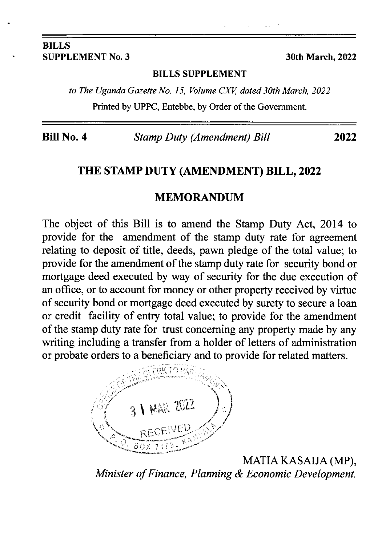#### BILLS SUPPLEMENT No. 3 30th March, 2022

#### BILLS SUPPLEMENT

to The Uganda Gazette No. 15, Volume CXV, dated 30th March, 2022 Printed by UPPC, Entebbe, by Order of the Govemment.

Bill No. 4 Stamp Duty (Amendment) Bill 2022

### THE STAMP DUTY (AMENDMENT) BLLL,2022

#### MEMORANDUM

The object of this Bill is to amend the Stamp Duty Act, 2014 to provide for the amendment of the stamp duty rate for agreement relating to deposit of title, deeds, pawn pledge of the total value; to provide for the amendment of the stamp duty rate for security bond or mortgage deed executed by way of security for the due execution of an office, or to account for money or other property received by virtue of security bond or mortgage deed executed by surety to secure a loan or credit facility of entry total value; to provide for the amendment of the stamp duty rate for trust concerning any property made by any writing including a transfer from a holder of letters of administration or probate orders to a beneficiary and to provide for related matters.



MATIA KASAIJA (MP), Minister of Finance, Planning & Economic Development.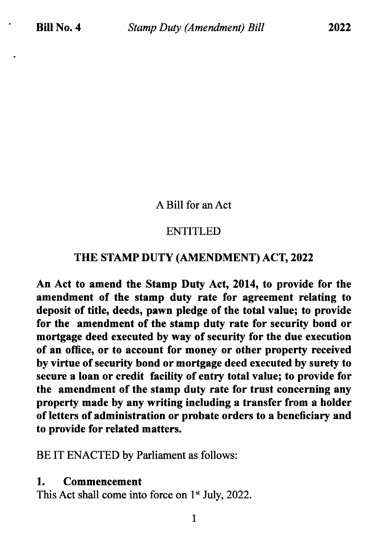A Bill for an Act

# ENTITLED

## THE STAMP DUTY (AMENDMENT) ACT,2O22

An Act to amend the Stamp Duty Act, 2014, to provide for the amendment of the stamp duty rate for agreement relating to deposit of title, deeds, pawn pledge of the total value; to provide for the amendment of the stamp duty rate for security bond or mortgage deed executed by way of security for the due execution of an office, or to account for money or other property received by virtue of security bond or mortgage deed executed by surety to secure a loan or credit facility of entry total value; to provide for the amendment of the stamp duty rate for trust concerning any property made by any writing including a transfer from a holder of letters of administration or probate orders to a beneficiary and to provide for related matters.

BE IT ENACTED by Parliament as follows:

### 1. Commencement

This Act shall come into force on  $1<sup>st</sup>$  July, 2022.